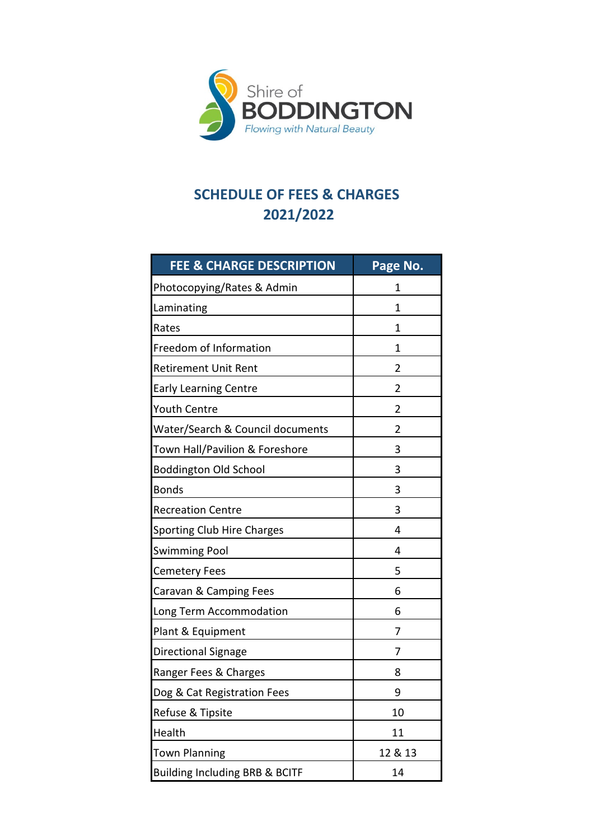

# **2021/2022 SCHEDULE OF FEES & CHARGES**

| <b>FEE &amp; CHARGE DESCRIPTION</b>       | Page No.       |
|-------------------------------------------|----------------|
| Photocopying/Rates & Admin                | 1              |
| Laminating                                | 1              |
| Rates                                     | 1              |
| Freedom of Information                    | 1              |
| <b>Retirement Unit Rent</b>               | 2              |
| <b>Early Learning Centre</b>              | $\overline{2}$ |
| <b>Youth Centre</b>                       | $\overline{2}$ |
| Water/Search & Council documents          | 2              |
| Town Hall/Pavilion & Foreshore            | 3              |
| <b>Boddington Old School</b>              | 3              |
| <b>Bonds</b>                              | 3              |
| <b>Recreation Centre</b>                  | 3              |
| <b>Sporting Club Hire Charges</b>         | 4              |
| <b>Swimming Pool</b>                      | 4              |
| <b>Cemetery Fees</b>                      | 5              |
| Caravan & Camping Fees                    | 6              |
| Long Term Accommodation                   | 6              |
| Plant & Equipment                         | 7              |
| Directional Signage                       | 7              |
| Ranger Fees & Charges                     | 8              |
| Dog & Cat Registration Fees               | 9              |
| Refuse & Tipsite                          | 10             |
| Health                                    | 11             |
| <b>Town Planning</b>                      | 12 & 13        |
| <b>Building Including BRB &amp; BCITF</b> | 14             |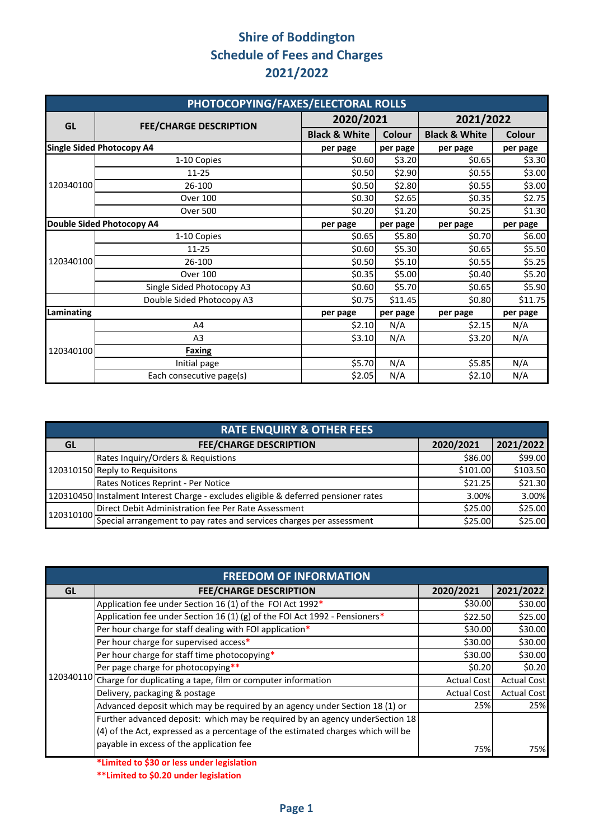| PHOTOCOPYING/FAXES/ELECTORAL ROLLS |                                  |                          |          |                          |          |  |
|------------------------------------|----------------------------------|--------------------------|----------|--------------------------|----------|--|
| GL                                 | <b>FEE/CHARGE DESCRIPTION</b>    | 2020/2021                |          | 2021/2022                |          |  |
|                                    |                                  | <b>Black &amp; White</b> | Colour   | <b>Black &amp; White</b> | Colour   |  |
|                                    | <b>Single Sided Photocopy A4</b> | per page                 | per page | per page                 | per page |  |
|                                    | 1-10 Copies                      | \$0.60                   | \$3.20   | \$0.65                   | \$3.30   |  |
|                                    | $11 - 25$                        | \$0.50                   | \$2.90   | \$0.55                   | \$3.00   |  |
| 120340100                          | 26-100                           | \$0.50                   | \$2.80   | \$0.55                   | \$3.00   |  |
|                                    | <b>Over 100</b>                  | \$0.30                   | \$2.65   | \$0.35                   | \$2.75   |  |
|                                    | <b>Over 500</b>                  | \$0.20                   | \$1.20   | \$0.25                   | \$1.30   |  |
| <b>Double Sided Photocopy A4</b>   |                                  | per page                 | per page | per page                 | per page |  |
|                                    | 1-10 Copies                      | \$0.65                   | \$5.80   | \$0.70                   | \$6.00   |  |
|                                    | $11 - 25$                        | \$0.60                   | \$5.30   | \$0.65                   | \$5.50   |  |
| 120340100                          | 26-100                           | \$0.50                   | \$5.10   | \$0.55                   | \$5.25   |  |
|                                    | <b>Over 100</b>                  | \$0.35                   | \$5.00   | \$0.40                   | \$5.20   |  |
|                                    | Single Sided Photocopy A3        | \$0.60                   | \$5.70   | \$0.65                   | \$5.90   |  |
|                                    | Double Sided Photocopy A3        | \$0.75                   | \$11.45  | \$0.80                   | \$11.75  |  |
| Laminating                         |                                  | per page                 | per page | per page                 | per page |  |
|                                    | A4                               | \$2.10                   | N/A      | \$2.15                   | N/A      |  |
|                                    | A <sub>3</sub>                   | \$3.10                   | N/A      | \$3.20                   | N/A      |  |
| 120340100                          | Faxing                           |                          |          |                          |          |  |
|                                    | Initial page                     | \$5.70                   | N/A      | \$5.85                   | N/A      |  |
|                                    | Each consecutive page(s)         | \$2.05                   | N/A      | \$2.10                   | N/A      |  |

|           | <b>RATE ENQUIRY &amp; OTHER FEES</b>                                                |           |           |  |  |  |
|-----------|-------------------------------------------------------------------------------------|-----------|-----------|--|--|--|
| GL        | <b>FEE/CHARGE DESCRIPTION</b>                                                       | 2020/2021 | 2021/2022 |  |  |  |
|           | Rates Inquiry/Orders & Requistions                                                  | \$86.00   | \$99.00   |  |  |  |
|           | 120310150 Reply to Requisitons                                                      | \$101.00  | \$103.50  |  |  |  |
|           | Rates Notices Reprint - Per Notice                                                  | \$21.25   | \$21.30   |  |  |  |
|           | 120310450 Instalment Interest Charge - excludes eligible & deferred pensioner rates | 3.00%     | 3.00%     |  |  |  |
| 120310100 | Direct Debit Administration fee Per Rate Assessment                                 | \$25.00   | \$25.00   |  |  |  |
|           | Special arrangement to pay rates and services charges per assessment                | \$25.00   | \$25.00   |  |  |  |

|    | <b>FREEDOM OF INFORMATION</b>                                                    |                    |                    |  |  |  |
|----|----------------------------------------------------------------------------------|--------------------|--------------------|--|--|--|
| GL | <b>FEE/CHARGE DESCRIPTION</b>                                                    | 2020/2021          | 2021/2022          |  |  |  |
|    | Application fee under Section 16 (1) of the FOI Act 1992*                        | \$30.00            | \$30.00            |  |  |  |
|    | Application fee under Section 16 (1) (g) of the FOI Act 1992 - Pensioners*       | \$22.50            | \$25.00            |  |  |  |
|    | Per hour charge for staff dealing with FOI application*                          | \$30.00            | \$30.00            |  |  |  |
|    | Per hour charge for supervised access*                                           | \$30.00            | \$30.00            |  |  |  |
|    | Per hour charge for staff time photocopying*                                     | \$30.00            | \$30.00            |  |  |  |
|    | Per page charge for photocopying**                                               | \$0.20             | \$0.20             |  |  |  |
|    | 120340110 Charge for duplicating a tape, film or computer information            | <b>Actual Cost</b> | <b>Actual Cost</b> |  |  |  |
|    | Delivery, packaging & postage                                                    | <b>Actual Cost</b> | <b>Actual Cost</b> |  |  |  |
|    | Advanced deposit which may be required by an agency under Section 18 (1) or      | 25%                | 25%                |  |  |  |
|    | Further advanced deposit: which may be required by an agency underSection 18     |                    |                    |  |  |  |
|    | (4) of the Act, expressed as a percentage of the estimated charges which will be |                    |                    |  |  |  |
|    | payable in excess of the application fee                                         | 75%                | 75%                |  |  |  |

**\*Limited to \$30 or less under legislation**

**\*\*Limited to \$0.20 under legislation**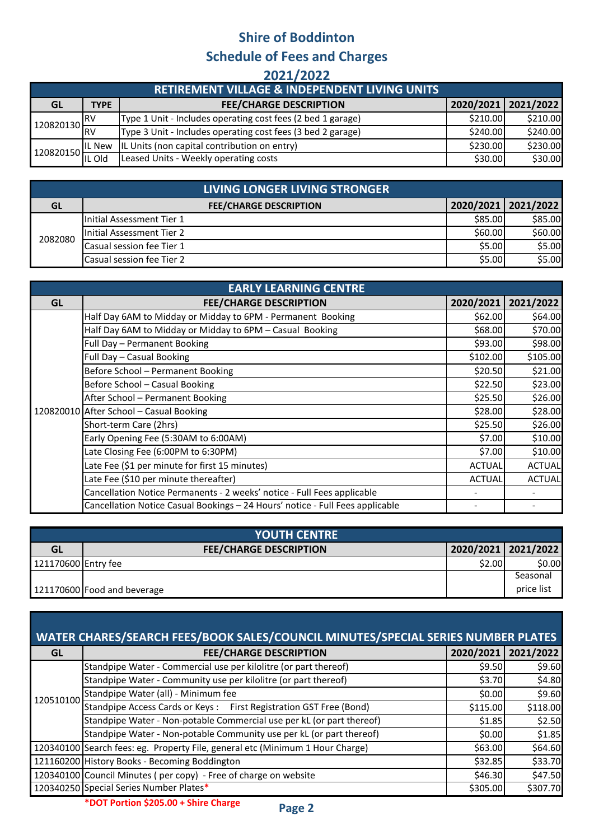#### **2021/2022**

|                   |             | <b>RETIREMENT VILLAGE &amp; INDEPENDENT LIVING UNITS</b>    |          |                     |
|-------------------|-------------|-------------------------------------------------------------|----------|---------------------|
| GL                | <b>TYPE</b> | <b>FEE/CHARGE DESCRIPTION</b>                               |          | 2020/2021 2021/2022 |
| 120820130         |             | Type 1 Unit - Includes operating cost fees (2 bed 1 garage) | \$210.00 | \$210.00            |
|                   | <b>RV</b>   | Type 3 Unit - Includes operating cost fees (3 bed 2 garage) | \$240.00 | \$240.00            |
| $\cdot$ 120820150 | IL New      | IL Units (non capital contribution on entry)                | \$230.00 | \$230.00            |
|                   |             | Leased Units - Weekly operating costs                       | \$30.00  | \$30.00             |

|           | LIVING LONGER LIVING STRONGER |         |                       |
|-----------|-------------------------------|---------|-----------------------|
| <b>GL</b> | <b>FEE/CHARGE DESCRIPTION</b> |         | 2020/2021   2021/2022 |
| 2082080   | Initial Assessment Tier 1     | \$85.00 | \$85.00               |
|           | Initial Assessment Tier 2     | \$60.00 | \$60.00               |
|           | Casual session fee Tier 1     | \$5.00  | \$5.00                |
|           | Casual session fee Tier 2     | \$5.00  | \$5.00                |

| <b>EARLY LEARNING CENTRE</b> |                                                                               |               |               |  |  |
|------------------------------|-------------------------------------------------------------------------------|---------------|---------------|--|--|
| <b>GL</b>                    | <b>FEE/CHARGE DESCRIPTION</b>                                                 | 2020/2021     | 2021/2022     |  |  |
|                              | Half Day 6AM to Midday or Midday to 6PM - Permanent Booking                   | \$62.00       | \$64.00       |  |  |
|                              | Half Day 6AM to Midday or Midday to 6PM - Casual Booking                      | \$68.00       | \$70.00       |  |  |
|                              | Full Day - Permanent Booking                                                  | \$93.00       | \$98.00       |  |  |
|                              | Full Day - Casual Booking                                                     | \$102.00      | \$105.00      |  |  |
|                              | Before School - Permanent Booking                                             | \$20.50       | \$21.00       |  |  |
|                              | Before School - Casual Booking                                                | \$22.50       | \$23.00       |  |  |
|                              | After School - Permanent Booking                                              | \$25.50       | \$26.00       |  |  |
|                              | 120820010 After School - Casual Booking                                       | \$28.00       | \$28.00       |  |  |
|                              | Short-term Care (2hrs)                                                        | \$25.50       | \$26.00       |  |  |
|                              | Early Opening Fee (5:30AM to 6:00AM)                                          | \$7.00        | \$10.00       |  |  |
|                              | Late Closing Fee (6:00PM to 6:30PM)                                           | \$7.00        | \$10.00       |  |  |
|                              | Late Fee (\$1 per minute for first 15 minutes)                                | <b>ACTUAL</b> | <b>ACTUAL</b> |  |  |
|                              | Late Fee (\$10 per minute thereafter)                                         | <b>ACTUAL</b> | <b>ACTUAL</b> |  |  |
|                              | Cancellation Notice Permanents - 2 weeks' notice - Full Fees applicable       |               |               |  |  |
|                              | Cancellation Notice Casual Bookings - 24 Hours' notice - Full Fees applicable |               |               |  |  |

| <b>YOUTH CENTRE</b> |                               |        |                     |  |  |
|---------------------|-------------------------------|--------|---------------------|--|--|
| GL                  | <b>FEE/CHARGE DESCRIPTION</b> |        | 2020/2021 2021/2022 |  |  |
| 121170600 Entry fee |                               | \$2.00 | \$0.00              |  |  |
|                     |                               |        | Seasonal            |  |  |
|                     | 121170600 Food and beverage   |        | price list          |  |  |

| <b>WATER CHARES/SEARCH FEES/BOOK SALES/COUNCIL MINUTES/SPECIAL SERIES NUMBER PLATES</b> |                                                                               |          |                     |  |  |  |
|-----------------------------------------------------------------------------------------|-------------------------------------------------------------------------------|----------|---------------------|--|--|--|
| <b>GL</b>                                                                               | <b>FEE/CHARGE DESCRIPTION</b>                                                 |          | 2020/2021 2021/2022 |  |  |  |
|                                                                                         | Standpipe Water - Commercial use per kilolitre (or part thereof)              | \$9.50   | \$9.60              |  |  |  |
|                                                                                         | Standpipe Water - Community use per kilolitre (or part thereof)               | \$3.70   | \$4.80              |  |  |  |
| 120510100                                                                               | Standpipe Water (all) - Minimum fee                                           | \$0.00   | \$9.60              |  |  |  |
|                                                                                         | Standpipe Access Cards or Keys: First Registration GST Free (Bond)            | \$115.00 | \$118.00            |  |  |  |
|                                                                                         | Standpipe Water - Non-potable Commercial use per kL (or part thereof)         | \$1.85   | \$2.50              |  |  |  |
|                                                                                         | Standpipe Water - Non-potable Community use per kL (or part thereof)          | \$0.00   | \$1.85              |  |  |  |
|                                                                                         | 120340100 Search fees: eg. Property File, general etc (Minimum 1 Hour Charge) | \$63.00  | \$64.60             |  |  |  |
|                                                                                         | 121160200 History Books - Becoming Boddington                                 | \$32.85  | \$33.70             |  |  |  |
|                                                                                         | 120340100 Council Minutes (per copy) - Free of charge on website              | \$46.30  | \$47.50             |  |  |  |
|                                                                                         | 120340250 Special Series Number Plates*                                       | \$305.00 | \$307.70            |  |  |  |
|                                                                                         |                                                                               |          |                     |  |  |  |

**\*DOT Portion \$205.00 + Shire Charge**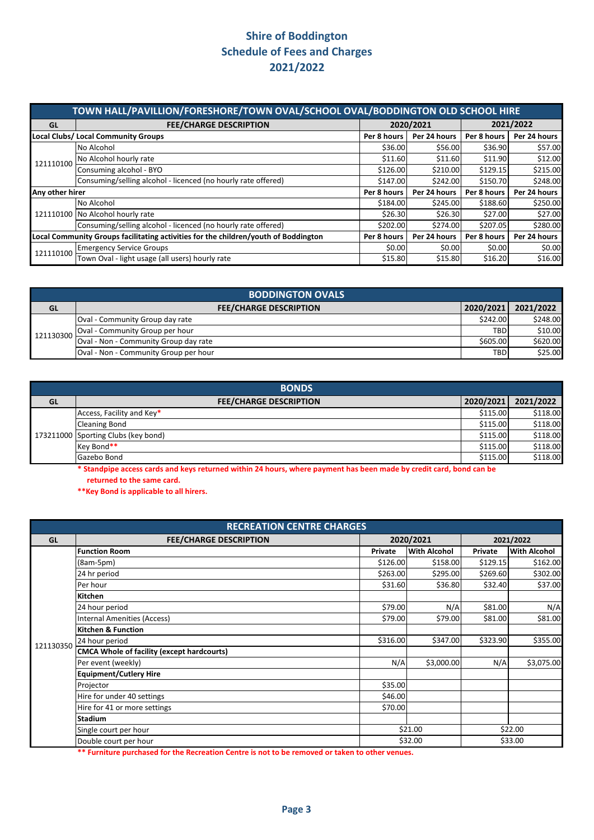|                                                                                     | TOWN HALL/PAVILLION/FORESHORE/TOWN OVAL/SCHOOL OVAL/BODDINGTON OLD SCHOOL HIRE |             |              |             |              |  |  |
|-------------------------------------------------------------------------------------|--------------------------------------------------------------------------------|-------------|--------------|-------------|--------------|--|--|
| GL                                                                                  | <b>FEE/CHARGE DESCRIPTION</b>                                                  |             | 2020/2021    | 2021/2022   |              |  |  |
|                                                                                     | <b>Local Clubs/ Local Community Groups</b>                                     | Per 8 hours | Per 24 hours | Per 8 hours | Per 24 hours |  |  |
|                                                                                     | No Alcohol                                                                     | \$36.00     | \$56.00      | \$36.90     | \$57.00      |  |  |
| 121110100                                                                           | No Alcohol hourly rate                                                         | \$11.60     | \$11.60      | \$11.90     | \$12.00      |  |  |
|                                                                                     | Consuming alcohol - BYO                                                        | \$126.00    | \$210.00     | \$129.15    | \$215.00     |  |  |
|                                                                                     | Consuming/selling alcohol - licenced (no hourly rate offered)                  | \$147.00    | \$242.00     | \$150.70    | \$248.00     |  |  |
| Any other hirer                                                                     |                                                                                | Per 8 hours | Per 24 hours | Per 8 hours | Per 24 hours |  |  |
|                                                                                     | No Alcohol                                                                     | \$184.00    | \$245.00     | \$188.60    | \$250.00     |  |  |
|                                                                                     | 121110100 No Alcohol hourly rate                                               | \$26.30     | \$26.30      | \$27.00     | \$27.00      |  |  |
|                                                                                     | Consuming/selling alcohol - licenced (no hourly rate offered)                  | \$202.00    | \$274.00     | \$207.05    | \$280.00     |  |  |
| Local Community Groups facilitating activities for the children/youth of Boddington |                                                                                | Per 8 hours | Per 24 hours | Per 8 hours | Per 24 hours |  |  |
| 121110100                                                                           | <b>Emergency Service Groups</b>                                                | \$0.00      | \$0.00       | \$0.00      | \$0.00       |  |  |
|                                                                                     | Town Oval - light usage (all users) hourly rate                                | \$15.80     | \$15.80      | \$16.20     | \$16.00      |  |  |

| <b>BODDINGTON OVALS</b> |                                       |            |           |  |  |
|-------------------------|---------------------------------------|------------|-----------|--|--|
| <b>GL</b>               | <b>FEE/CHARGE DESCRIPTION</b>         | 2020/2021  | 2021/2022 |  |  |
| 121130300               | Oval - Community Group day rate       | \$242.00   | \$248.00  |  |  |
|                         | Oval - Community Group per hour       | <b>TBD</b> | \$10.00   |  |  |
|                         | Oval - Non - Community Group day rate | \$605.00   | \$620.00  |  |  |
|                         | Oval - Non - Community Group per hour | <b>TBD</b> | \$25.00   |  |  |

| <b>BONDS</b> |                                     |           |           |  |  |
|--------------|-------------------------------------|-----------|-----------|--|--|
| GL           | <b>FEE/CHARGE DESCRIPTION</b>       | 2020/2021 | 2021/2022 |  |  |
|              | Access, Facility and Key*           | \$115.00  | \$118.00  |  |  |
|              | <b>Cleaning Bond</b>                | \$115.00  | \$118.00  |  |  |
|              | 173211000 Sporting Clubs (key bond) | \$115.00  | \$118.00  |  |  |
|              | Key Bond**                          | \$115.00  | \$118.00  |  |  |
|              | Gazebo Bond                         | \$115.00  | \$118.00  |  |  |

 **returned to the same card. \* Standpipe access cards and keys returned within 24 hours, where payment has been made by credit card, bond can be** 

**\*\*Key Bond is applicable to all hirers.** 

| <b>RECREATION CENTRE CHARGES</b> |                                                   |          |                     |          |                     |  |
|----------------------------------|---------------------------------------------------|----------|---------------------|----------|---------------------|--|
| <b>GL</b>                        | <b>FEE/CHARGE DESCRIPTION</b>                     |          | 2020/2021           |          | 2021/2022           |  |
|                                  | <b>Function Room</b>                              | Private  | <b>With Alcohol</b> | Private  | <b>With Alcohol</b> |  |
|                                  | (8am-5pm)                                         | \$126.00 | \$158.00            | \$129.15 | \$162.00            |  |
|                                  | 24 hr period                                      | \$263.00 | \$295.00            | \$269.60 | \$302.00            |  |
|                                  | Per hour                                          | \$31.60  | \$36.80             | \$32.40  | \$37.00             |  |
|                                  | Kitchen                                           |          |                     |          |                     |  |
|                                  | 24 hour period                                    | \$79.00  | N/A                 | \$81.00  | N/A                 |  |
|                                  | <b>Internal Amenities (Access)</b>                | \$79.00  | \$79.00             | \$81.00  | \$81.00             |  |
|                                  | <b>Kitchen &amp; Function</b>                     |          |                     |          |                     |  |
| 121130350                        | 24 hour period                                    | \$316.00 | \$347.00            | \$323.90 | \$355.00            |  |
|                                  | <b>CMCA Whole of facility (except hardcourts)</b> |          |                     |          |                     |  |
|                                  | Per event (weekly)                                | N/A      | \$3,000.00          | N/A      | \$3,075.00          |  |
|                                  | <b>Equipment/Cutlery Hire</b>                     |          |                     |          |                     |  |
|                                  | Projector                                         | \$35.00  |                     |          |                     |  |
|                                  | Hire for under 40 settings                        | \$46.00  |                     |          |                     |  |
|                                  | Hire for 41 or more settings                      | \$70.00  |                     |          |                     |  |
|                                  | <b>Stadium</b>                                    |          |                     |          |                     |  |
|                                  | Single court per hour                             |          | \$21.00             | \$22.00  |                     |  |
|                                  | Double court per hour                             |          | \$32.00             |          | \$33.00             |  |

**\*\* Furniture purchased for the Recreation Centre is not to be removed or taken to other venues.**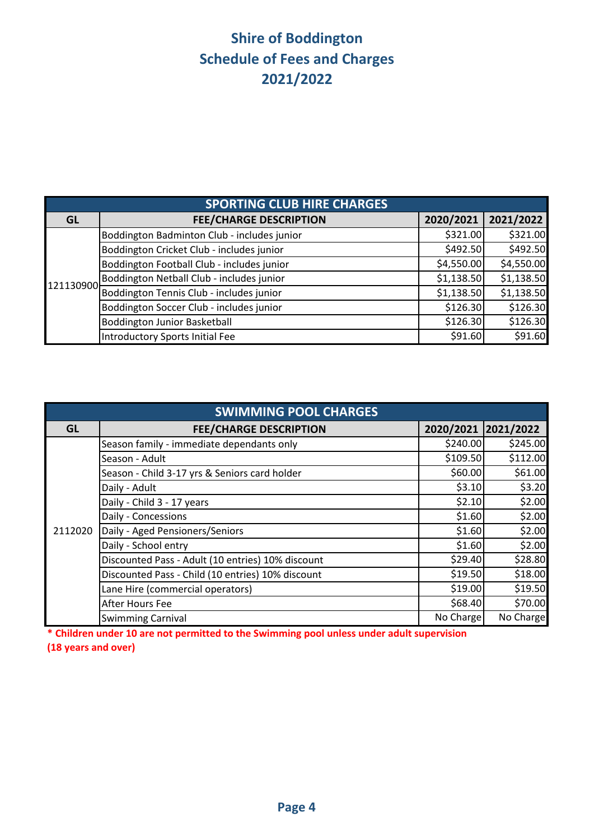|           | <b>SPORTING CLUB HIRE CHARGES</b>           |            |            |  |  |  |
|-----------|---------------------------------------------|------------|------------|--|--|--|
| <b>GL</b> | <b>FEE/CHARGE DESCRIPTION</b>               | 2020/2021  | 2021/2022  |  |  |  |
|           | Boddington Badminton Club - includes junior | \$321.00   | \$321.00   |  |  |  |
|           | Boddington Cricket Club - includes junior   | \$492.50   | \$492.50   |  |  |  |
|           | Boddington Football Club - includes junior  | \$4,550.00 | \$4,550.00 |  |  |  |
| 121130900 | Boddington Netball Club - includes junior   | \$1,138.50 | \$1,138.50 |  |  |  |
|           | Boddington Tennis Club - includes junior    | \$1,138.50 | \$1,138.50 |  |  |  |
|           | Boddington Soccer Club - includes junior    | \$126.30   | \$126.30   |  |  |  |
|           | <b>Boddington Junior Basketball</b>         | \$126.30   | \$126.30   |  |  |  |
|           | <b>Introductory Sports Initial Fee</b>      | \$91.60    | \$91.60    |  |  |  |

|           | <b>SWIMMING POOL CHARGES</b>                      |                     |           |  |  |  |
|-----------|---------------------------------------------------|---------------------|-----------|--|--|--|
| <b>GL</b> | <b>FEE/CHARGE DESCRIPTION</b>                     | 2020/2021 2021/2022 |           |  |  |  |
|           | Season family - immediate dependants only         | \$240.00            | \$245.00  |  |  |  |
|           | Season - Adult                                    | \$109.50            | \$112.00  |  |  |  |
|           | Season - Child 3-17 yrs & Seniors card holder     | \$60.00             | \$61.00   |  |  |  |
|           | Daily - Adult                                     | \$3.10              | \$3.20    |  |  |  |
|           | Daily - Child 3 - 17 years                        | \$2.10              | \$2.00    |  |  |  |
|           | Daily - Concessions                               | \$1.60              | \$2.00    |  |  |  |
| 2112020   | Daily - Aged Pensioners/Seniors                   | \$1.60              | \$2.00    |  |  |  |
|           | Daily - School entry                              | \$1.60              | \$2.00    |  |  |  |
|           | Discounted Pass - Adult (10 entries) 10% discount | \$29.40             | \$28.80   |  |  |  |
|           | Discounted Pass - Child (10 entries) 10% discount | \$19.50             | \$18.00   |  |  |  |
|           | Lane Hire (commercial operators)                  | \$19.00             | \$19.50   |  |  |  |
|           | After Hours Fee                                   | \$68.40             | \$70.00   |  |  |  |
|           | <b>Swimming Carnival</b>                          | No Charge           | No Charge |  |  |  |

**\* Children under 10 are not permitted to the Swimming pool unless under adult supervision**

**(18 years and over)**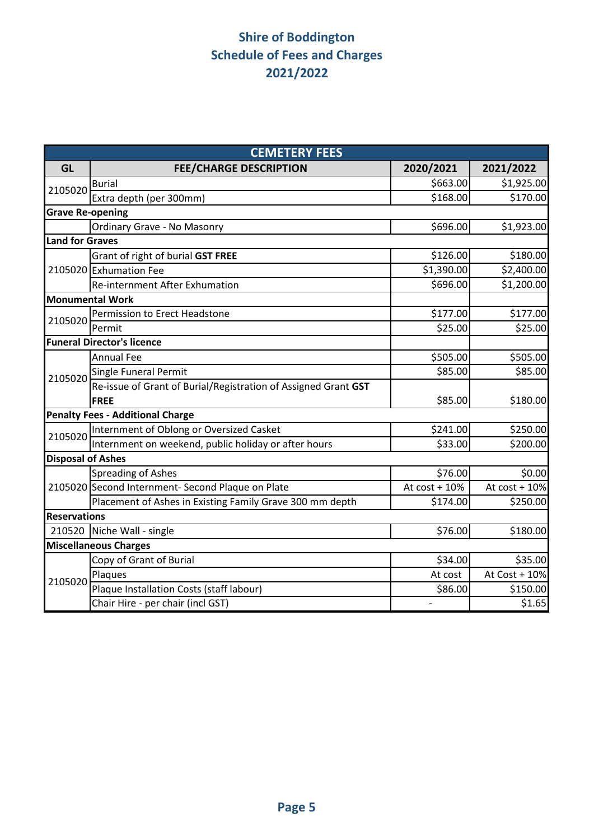|                                                                                                                    | <b>CEMETERY FEES</b>                                           |               |               |  |  |  |  |  |
|--------------------------------------------------------------------------------------------------------------------|----------------------------------------------------------------|---------------|---------------|--|--|--|--|--|
| <b>GL</b>                                                                                                          | <b>FEE/CHARGE DESCRIPTION</b>                                  | 2020/2021     | 2021/2022     |  |  |  |  |  |
|                                                                                                                    | <b>Burial</b>                                                  | \$663.00      | \$1,925.00    |  |  |  |  |  |
|                                                                                                                    | Extra depth (per 300mm)                                        | \$168.00      | \$170.00      |  |  |  |  |  |
|                                                                                                                    |                                                                |               |               |  |  |  |  |  |
|                                                                                                                    | Ordinary Grave - No Masonry                                    | \$696.00      | \$1,923.00    |  |  |  |  |  |
|                                                                                                                    |                                                                |               |               |  |  |  |  |  |
|                                                                                                                    | Grant of right of burial GST FREE                              | \$126.00      | \$180.00      |  |  |  |  |  |
|                                                                                                                    | 2105020 Exhumation Fee                                         | \$1,390.00    | \$2,400.00    |  |  |  |  |  |
| 2105020<br><b>Grave Re-opening</b><br><b>Land for Graves</b><br>2105020<br>2105020<br>2105020<br>210520<br>2105020 | <b>Re-internment After Exhumation</b>                          | \$696.00      | \$1,200.00    |  |  |  |  |  |
|                                                                                                                    |                                                                |               |               |  |  |  |  |  |
|                                                                                                                    | Permission to Erect Headstone                                  | \$177.00      | \$177.00      |  |  |  |  |  |
|                                                                                                                    | Permit                                                         | \$25.00       | \$25.00       |  |  |  |  |  |
|                                                                                                                    | <b>Funeral Director's licence</b>                              |               |               |  |  |  |  |  |
|                                                                                                                    | <b>Annual Fee</b>                                              | \$505.00      | \$505.00      |  |  |  |  |  |
|                                                                                                                    | Single Funeral Permit                                          | \$85.00       | \$85.00       |  |  |  |  |  |
|                                                                                                                    | Re-issue of Grant of Burial/Registration of Assigned Grant GST |               |               |  |  |  |  |  |
|                                                                                                                    | <b>FREE</b>                                                    | \$85.00       | \$180.00      |  |  |  |  |  |
|                                                                                                                    | <b>Penalty Fees - Additional Charge</b>                        |               |               |  |  |  |  |  |
|                                                                                                                    | Internment of Oblong or Oversized Casket                       | \$241.00      | \$250.00      |  |  |  |  |  |
| <b>Monumental Work</b><br><b>Disposal of Ashes</b><br><b>Reservations</b>                                          | Internment on weekend, public holiday or after hours           | \$33.00       | \$200.00      |  |  |  |  |  |
|                                                                                                                    |                                                                |               |               |  |  |  |  |  |
|                                                                                                                    | <b>Spreading of Ashes</b>                                      | \$76.00       | \$0.00        |  |  |  |  |  |
|                                                                                                                    | 2105020 Second Internment- Second Plaque on Plate              | At cost + 10% | At cost + 10% |  |  |  |  |  |
|                                                                                                                    | Placement of Ashes in Existing Family Grave 300 mm depth       | \$174.00      | \$250.00      |  |  |  |  |  |
|                                                                                                                    |                                                                |               |               |  |  |  |  |  |
|                                                                                                                    | Niche Wall - single                                            | \$76.00       | \$180.00      |  |  |  |  |  |
|                                                                                                                    | <b>Miscellaneous Charges</b>                                   |               |               |  |  |  |  |  |
|                                                                                                                    | Copy of Grant of Burial                                        | \$34.00       | \$35.00       |  |  |  |  |  |
|                                                                                                                    | Plaques                                                        | At cost       | At Cost + 10% |  |  |  |  |  |
|                                                                                                                    | Plaque Installation Costs (staff labour)                       | \$86.00       | \$150.00      |  |  |  |  |  |
|                                                                                                                    | Chair Hire - per chair (incl GST)                              |               | \$1.65        |  |  |  |  |  |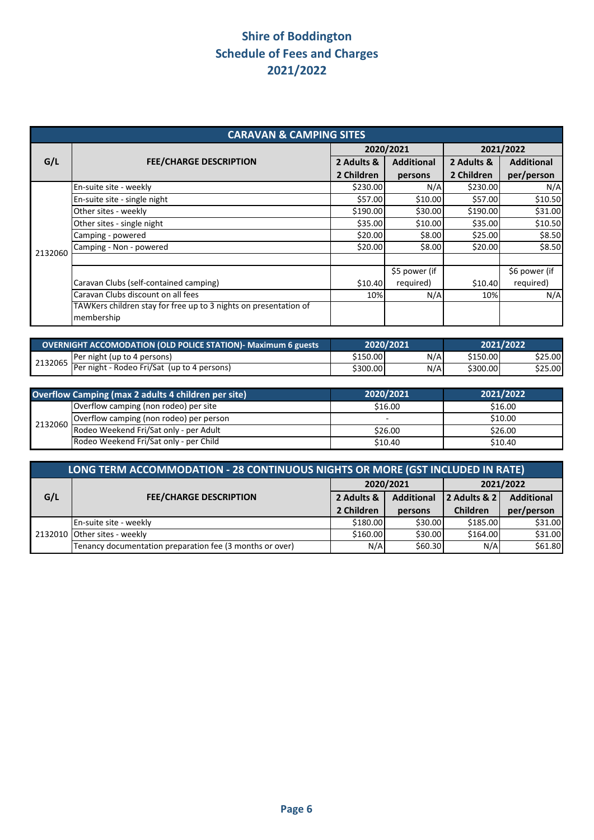|         | <b>CARAVAN &amp; CAMPING SITES</b>                               |            |                   |            |                   |  |  |
|---------|------------------------------------------------------------------|------------|-------------------|------------|-------------------|--|--|
|         |                                                                  |            | 2020/2021         | 2021/2022  |                   |  |  |
| G/L     | <b>FEE/CHARGE DESCRIPTION</b>                                    | 2 Adults & | <b>Additional</b> | 2 Adults & | <b>Additional</b> |  |  |
|         |                                                                  | 2 Children | persons           | 2 Children | per/person        |  |  |
|         | En-suite site - weekly                                           | \$230.00   | N/A               | \$230.00   | N/A               |  |  |
|         | En-suite site - single night                                     | \$57.00    | \$10.00           | \$57.00    | \$10.50           |  |  |
|         | Other sites - weekly                                             | \$190.00   | \$30.00           | \$190.00   | \$31.00           |  |  |
|         | Other sites - single night                                       | \$35.00    | \$10.00           | \$35.00    | \$10.50           |  |  |
|         | Camping - powered                                                | \$20.00    | \$8.00            | \$25.00    | \$8.50            |  |  |
| 2132060 | Camping - Non - powered                                          | \$20.00    | \$8.00            | \$20.00    | \$8.50            |  |  |
|         |                                                                  |            |                   |            |                   |  |  |
|         |                                                                  |            | \$5 power (if     |            | \$6 power (if     |  |  |
|         | Caravan Clubs (self-contained camping)                           | \$10.40    | required)         | \$10.40    | required)         |  |  |
|         | Caravan Clubs discount on all fees                               | 10%        | N/A               | 10%        | N/A               |  |  |
|         | TAWKers children stay for free up to 3 nights on presentation of |            |                   |            |                   |  |  |
|         | membership                                                       |            |                   |            |                   |  |  |

| OVERNIGHT ACCOMODATION (OLD POLICE STATION)- Maximum 6 guests |                                                                     | 2020/2021<br>2021/2022 |     |          |         |
|---------------------------------------------------------------|---------------------------------------------------------------------|------------------------|-----|----------|---------|
|                                                               | Per night (up to 4 persons)                                         | \$150.00               | N/A | \$150.00 | \$25.00 |
|                                                               | $\frac{2132065}{Per\ right - Rodeo\ Fri/Sat\ (up\ to\ 4\ persons)}$ | \$300.00               | N/A | \$300.00 | \$25.00 |

|         | Overflow Camping (max 2 adults 4 children per site) | 2020/2021 | 2021/2022 |
|---------|-----------------------------------------------------|-----------|-----------|
| 2132060 | Overflow camping (non rodeo) per site               | \$16.00   | \$16.00   |
|         | Overflow camping (non rodeo) per person             |           | \$10.00   |
|         | Rodeo Weekend Fri/Sat only - per Adult              | \$26.00   | \$26.00   |
|         | Rodeo Weekend Fri/Sat only - per Child              | \$10.40   | \$10.40   |

|     | LONG TERM ACCOMMODATION - 28 CONTINUOUS NIGHTS OR MORE (GST INCLUDED IN RATE) |                        |                                   |                   |            |  |  |
|-----|-------------------------------------------------------------------------------|------------------------|-----------------------------------|-------------------|------------|--|--|
|     |                                                                               | 2020/2021<br>2021/2022 |                                   |                   |            |  |  |
| G/L | <b>FEE/CHARGE DESCRIPTION</b>                                                 | 2 Adults &             | <b>Additional</b><br>2 Adults & 2 | <b>Additional</b> |            |  |  |
|     |                                                                               | 2 Children             | persons                           | Children          | per/person |  |  |
|     | En-suite site - weekly                                                        | \$180.00               | \$30.00                           | \$185.00          | \$31.00    |  |  |
|     | 2132010 Other sites - weekly                                                  | \$160.00               | \$30.00                           | \$164.00          | \$31.00    |  |  |
|     | Tenancy documentation preparation fee (3 months or over)                      | N/A                    | \$60.30                           | N/A               | \$61.80    |  |  |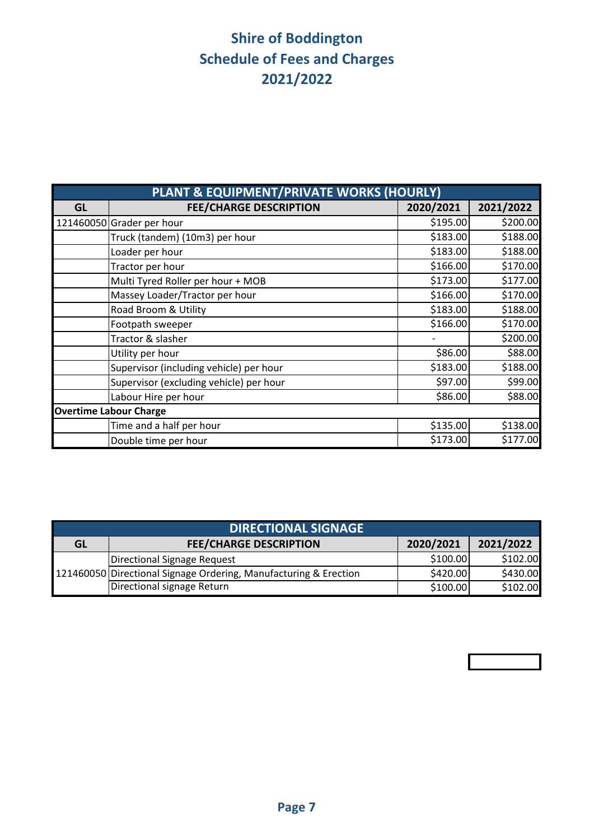|           | PLANT & EQUIPMENT/PRIVATE WORKS (HOURLY) |           |           |
|-----------|------------------------------------------|-----------|-----------|
| <b>GL</b> | <b>FEE/CHARGE DESCRIPTION</b>            | 2020/2021 | 2021/2022 |
|           | 121460050 Grader per hour                | \$195.00  | \$200.00  |
|           | Truck (tandem) (10m3) per hour           | \$183.00  | \$188.00  |
|           | Loader per hour                          | \$183.00  | \$188.00  |
|           | Tractor per hour                         | \$166.00  | \$170.00  |
|           | Multi Tyred Roller per hour + MOB        | \$173.00  | \$177.00  |
|           | Massey Loader/Tractor per hour           | \$166.00  | \$170.00  |
|           | Road Broom & Utility                     | \$183.00  | \$188.00  |
|           | Footpath sweeper                         | \$166.00  | \$170.00  |
|           | Tractor & slasher                        |           | \$200.00  |
|           | Utility per hour                         | \$86.00   | \$88.00   |
|           | Supervisor (including vehicle) per hour  | \$183.00  | \$188.00  |
|           | Supervisor (excluding vehicle) per hour  | \$97.00   | \$99.00   |
|           | Labour Hire per hour                     | \$86.00   | \$88.00   |
|           | <b>Overtime Labour Charge</b>            |           |           |
|           | Time and a half per hour                 | \$135.00  | \$138.00  |
|           | Double time per hour                     | \$173.00  | \$177.00  |

|    | <b>DIRECTIONAL SIGNAGE</b>                                       |           |           |  |  |  |  |
|----|------------------------------------------------------------------|-----------|-----------|--|--|--|--|
| GL | <b>FEE/CHARGE DESCRIPTION</b>                                    | 2020/2021 | 2021/2022 |  |  |  |  |
|    | Directional Signage Request                                      | \$100.00  | \$102.00  |  |  |  |  |
|    | 121460050 Directional Signage Ordering, Manufacturing & Erection | \$420.00  | \$430.00  |  |  |  |  |
|    | Directional signage Return                                       | \$100.00  | \$102.00  |  |  |  |  |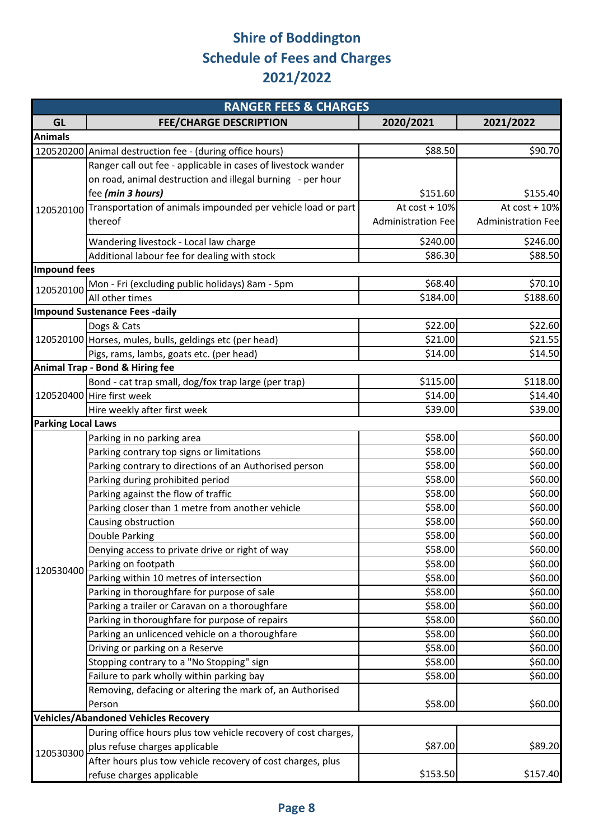|                                                            | <b>RANGER FEES &amp; CHARGES</b>                                       |                           |                           |
|------------------------------------------------------------|------------------------------------------------------------------------|---------------------------|---------------------------|
| GL                                                         | <b>FEE/CHARGE DESCRIPTION</b>                                          | 2020/2021                 | 2021/2022                 |
| <b>Animals</b>                                             |                                                                        |                           |                           |
|                                                            | 120520200 Animal destruction fee - (during office hours)               | \$88.50                   | \$90.70                   |
|                                                            | Ranger call out fee - applicable in cases of livestock wander          |                           |                           |
| <b>Impound fees</b><br>120520100<br>120530400<br>120530300 | on road, animal destruction and illegal burning - per hour             |                           |                           |
|                                                            | fee (min 3 hours)                                                      | \$151.60                  | \$155.40                  |
|                                                            | 120520100 Transportation of animals impounded per vehicle load or part | At $cost + 10%$           | At $cost + 10%$           |
|                                                            | thereof                                                                | <b>Administration Fee</b> | <b>Administration Fee</b> |
|                                                            | Wandering livestock - Local law charge                                 | \$240.00                  | \$246.00                  |
|                                                            | Additional labour fee for dealing with stock                           | \$86.30                   | \$88.50                   |
|                                                            |                                                                        |                           |                           |
|                                                            | Mon - Fri (excluding public holidays) 8am - 5pm                        | \$68.40                   | \$70.10                   |
|                                                            | All other times                                                        | \$184.00                  | \$188.60                  |
|                                                            | <b>Impound Sustenance Fees -daily</b>                                  |                           |                           |
|                                                            | Dogs & Cats                                                            | \$22.00                   | \$22.60                   |
|                                                            | 120520100 Horses, mules, bulls, geldings etc (per head)                | \$21.00                   | \$21.55                   |
|                                                            | Pigs, rams, lambs, goats etc. (per head)                               | \$14.00                   | \$14.50                   |
|                                                            | <b>Animal Trap - Bond &amp; Hiring fee</b>                             |                           |                           |
|                                                            | Bond - cat trap small, dog/fox trap large (per trap)                   | \$115.00                  | \$118.00                  |
|                                                            | 120520400 Hire first week                                              | \$14.00<br>\$39.00        | \$14.40                   |
|                                                            | \$39.00                                                                |                           |                           |
|                                                            |                                                                        |                           |                           |
|                                                            | Parking in no parking area                                             | \$58.00                   | \$60.00                   |
| Hire weekly after first week<br><b>Parking Local Laws</b>  | Parking contrary top signs or limitations                              | \$58.00                   | \$60.00                   |
|                                                            | Parking contrary to directions of an Authorised person                 | \$58.00                   | \$60.00                   |
|                                                            | Parking during prohibited period                                       | \$58.00                   | \$60.00                   |
|                                                            | Parking against the flow of traffic                                    | \$58.00                   | \$60.00                   |
|                                                            | Parking closer than 1 metre from another vehicle                       | \$58.00                   | \$60.00                   |
|                                                            | Causing obstruction                                                    | \$58.00                   | \$60.00                   |
|                                                            | Double Parking                                                         | \$58.00                   | \$60.00                   |
|                                                            | Denying access to private drive or right of way                        | \$58.00                   | \$60.00                   |
|                                                            | Parking on footpath                                                    | \$58.00                   | \$60.00                   |
|                                                            | Parking within 10 metres of intersection                               | \$58.00                   | \$60.00                   |
|                                                            | Parking in thoroughfare for purpose of sale                            | \$58.00                   | \$60.00                   |
|                                                            | Parking a trailer or Caravan on a thoroughfare                         | \$58.00                   | \$60.00                   |
|                                                            | Parking in thoroughfare for purpose of repairs                         | \$58.00                   | \$60.00                   |
|                                                            | Parking an unlicenced vehicle on a thoroughfare                        | \$58.00                   | \$60.00                   |
|                                                            | Driving or parking on a Reserve                                        | \$58.00                   | \$60.00                   |
|                                                            | Stopping contrary to a "No Stopping" sign                              | \$58.00                   | \$60.00                   |
|                                                            | Failure to park wholly within parking bay                              | \$58.00                   | \$60.00                   |
|                                                            | Removing, defacing or altering the mark of, an Authorised              |                           |                           |
|                                                            | Person                                                                 | \$58.00                   | \$60.00                   |
|                                                            | <b>Vehicles/Abandoned Vehicles Recovery</b>                            |                           |                           |
|                                                            | During office hours plus tow vehicle recovery of cost charges,         |                           |                           |
|                                                            | plus refuse charges applicable                                         | \$87.00                   | \$89.20                   |
|                                                            | After hours plus tow vehicle recovery of cost charges, plus            |                           |                           |
|                                                            | refuse charges applicable                                              | \$153.50                  | \$157.40                  |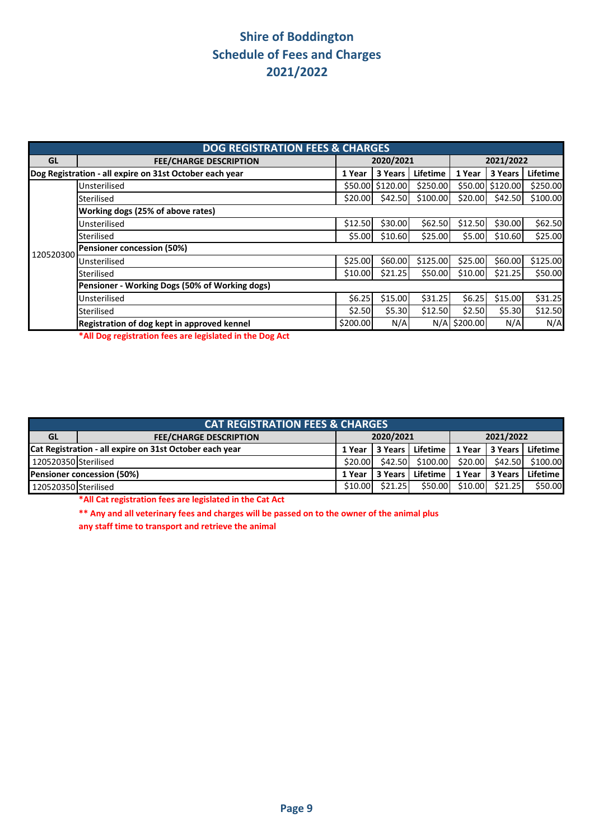|           | <b>DOG REGISTRATION FEES &amp; CHARGES</b>              |           |          |          |              |                  |          |  |
|-----------|---------------------------------------------------------|-----------|----------|----------|--------------|------------------|----------|--|
| GL        | <b>FEE/CHARGE DESCRIPTION</b>                           | 2020/2021 |          |          | 2021/2022    |                  |          |  |
|           | Dog Registration - all expire on 31st October each year | 1 Year    | 3 Years  | Lifetime | 1 Year       | 3 Years          | Lifetime |  |
|           | Unsterilised                                            | \$50.00   | \$120.00 | \$250.00 |              | \$50.00 \$120.00 | \$250.00 |  |
|           | Sterilised                                              | \$20.00   | \$42.50  | \$100.00 | \$20.00      | \$42.50          | \$100.00 |  |
|           | Working dogs (25% of above rates)                       |           |          |          |              |                  |          |  |
|           | Unsterilised                                            | \$12.50   | \$30.00  | \$62.50  | \$12.50      | \$30.00          | \$62.50  |  |
|           | Sterilised                                              | \$5.00    | \$10.60  | \$25.00  | \$5.00       | \$10.60          | \$25.00  |  |
| 120520300 | Pensioner concession (50%)                              |           |          |          |              |                  |          |  |
|           | Unsterilised                                            | \$25.00   | \$60.00  | \$125.00 | \$25.00      | \$60.00          | \$125.00 |  |
|           | Sterilised                                              | \$10.00   | \$21.25  | \$50.00  | \$10.00      | \$21.25          | \$50.00  |  |
|           | Pensioner - Working Dogs (50% of Working dogs)          |           |          |          |              |                  |          |  |
|           | Unsterilised                                            | \$6.25    | \$15.00  | \$31.25  | \$6.25       | \$15.00          | \$31.25  |  |
|           | Sterilised                                              | \$2.50    | \$5.30   | \$12.50  | \$2.50       | \$5.30           | \$12.50  |  |
|           | Registration of dog kept in approved kennel             | \$200.00  | N/A      |          | N/A \$200.00 | N/A              | N/A      |  |

**\*All Dog registration fees are legislated in the Dog Act**

| <b>CAT REGISTRATION FEES &amp; CHARGES</b>              |                               |           |         |            |           |         |                   |
|---------------------------------------------------------|-------------------------------|-----------|---------|------------|-----------|---------|-------------------|
| <b>GL</b>                                               | <b>FEE/CHARGE DESCRIPTION</b> | 2020/2021 |         |            | 2021/2022 |         |                   |
| Cat Registration - all expire on 31st October each year |                               | 1 Year    | 3 Years | Lifetime I | 1 Year    |         | 13 Years Lifetime |
| 120520350 Sterilised                                    |                               | \$20.00   | \$42.50 | \$100.00   | \$20.00   | \$42.50 | \$100.00          |
| <b>Pensioner concession (50%)</b>                       |                               | 1 Year    | 3 Years | Lifetime   | 1 Year    |         | 13 Years Lifetime |
| 120520350 Sterilised                                    |                               | \$10.00   | \$21.25 | \$50.00    | \$10.00   | \$21.25 | \$50.00           |

**\*All Cat registration fees are legislated in the Cat Act**

**\*\* Any and all veterinary fees and charges will be passed on to the owner of the animal plus** 

**any staff time to transport and retrieve the animal**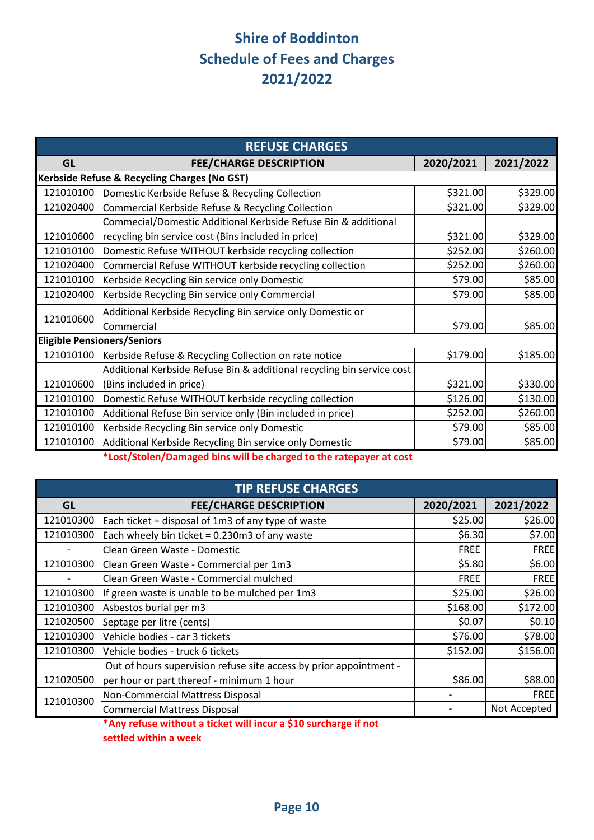| <b>REFUSE CHARGES</b> |                                                                        |           |           |  |  |  |
|-----------------------|------------------------------------------------------------------------|-----------|-----------|--|--|--|
| <b>GL</b>             | <b>FEE/CHARGE DESCRIPTION</b>                                          | 2020/2021 | 2021/2022 |  |  |  |
|                       | Kerbside Refuse & Recycling Charges (No GST)                           |           |           |  |  |  |
| 121010100             | Domestic Kerbside Refuse & Recycling Collection                        | \$321.00  | \$329.00  |  |  |  |
| 121020400             | Commercial Kerbside Refuse & Recycling Collection                      | \$321.00  | \$329.00  |  |  |  |
|                       | Commecial/Domestic Additional Kerbside Refuse Bin & additional         |           |           |  |  |  |
| 121010600             | recycling bin service cost (Bins included in price)                    | \$321.00  | \$329.00  |  |  |  |
| 121010100             | Domestic Refuse WITHOUT kerbside recycling collection                  | \$252.00  | \$260.00  |  |  |  |
| 121020400             | Commercial Refuse WITHOUT kerbside recycling collection                | \$252.00  | \$260.00  |  |  |  |
| 121010100             | Kerbside Recycling Bin service only Domestic                           | \$79.00   | \$85.00   |  |  |  |
| 121020400             | Kerbside Recycling Bin service only Commercial                         | \$79.00   | \$85.00   |  |  |  |
| 121010600             | Additional Kerbside Recycling Bin service only Domestic or             |           |           |  |  |  |
|                       | Commercial                                                             | \$79.00   | \$85.00   |  |  |  |
|                       | <b>Eligible Pensioners/Seniors</b>                                     |           |           |  |  |  |
| 121010100             | Kerbside Refuse & Recycling Collection on rate notice                  | \$179.00  | \$185.00  |  |  |  |
|                       | Additional Kerbside Refuse Bin & additional recycling bin service cost |           |           |  |  |  |
| 121010600             | (Bins included in price)                                               | \$321.00  | \$330.00  |  |  |  |
| 121010100             | Domestic Refuse WITHOUT kerbside recycling collection                  | \$126.00  | \$130.00  |  |  |  |
| 121010100             | Additional Refuse Bin service only (Bin included in price)             | \$252.00  | \$260.00  |  |  |  |
| 121010100             | Kerbside Recycling Bin service only Domestic                           | \$79.00   | \$85.00   |  |  |  |
| 121010100             | Additional Kerbside Recycling Bin service only Domestic                | \$79.00   | \$85.00   |  |  |  |

**\*Lost/Stolen/Damaged bins will be charged to the ratepayer at cost**

| <b>TIP REFUSE CHARGES</b> |                                                                    |             |              |  |  |
|---------------------------|--------------------------------------------------------------------|-------------|--------------|--|--|
| GL                        | <b>FEE/CHARGE DESCRIPTION</b>                                      | 2020/2021   | 2021/2022    |  |  |
| 121010300                 | Each ticket = disposal of 1m3 of any type of waste                 | \$25.00     | \$26.00      |  |  |
| 121010300                 | Each wheely bin ticket = 0.230m3 of any waste                      | \$6.30      | \$7.00       |  |  |
| $\overline{\phantom{a}}$  | Clean Green Waste - Domestic                                       | <b>FREE</b> | <b>FREE</b>  |  |  |
| 121010300                 | Clean Green Waste - Commercial per 1m3                             | \$5.80      | \$6.00       |  |  |
|                           | Clean Green Waste - Commercial mulched                             | <b>FREE</b> | <b>FREE</b>  |  |  |
| 121010300                 | If green waste is unable to be mulched per 1m3                     | \$25.00     | \$26.00      |  |  |
| 121010300                 | Asbestos burial per m3                                             | \$168.00    | \$172.00     |  |  |
| 121020500                 | Septage per litre (cents)                                          | \$0.07      | \$0.10       |  |  |
| 121010300                 | Vehicle bodies - car 3 tickets                                     | \$76.00     | \$78.00      |  |  |
| 121010300                 | Vehicle bodies - truck 6 tickets                                   | \$152.00    | \$156.00     |  |  |
|                           | Out of hours supervision refuse site access by prior appointment - |             |              |  |  |
| 121020500                 | per hour or part thereof - minimum 1 hour                          | \$86.00     | \$88.00      |  |  |
|                           | Non-Commercial Mattress Disposal                                   |             | <b>FREE</b>  |  |  |
| 121010300                 | <b>Commercial Mattress Disposal</b>                                |             | Not Accepted |  |  |

**\*Any refuse without a ticket will incur a \$10 surcharge if not** 

**settled within a week**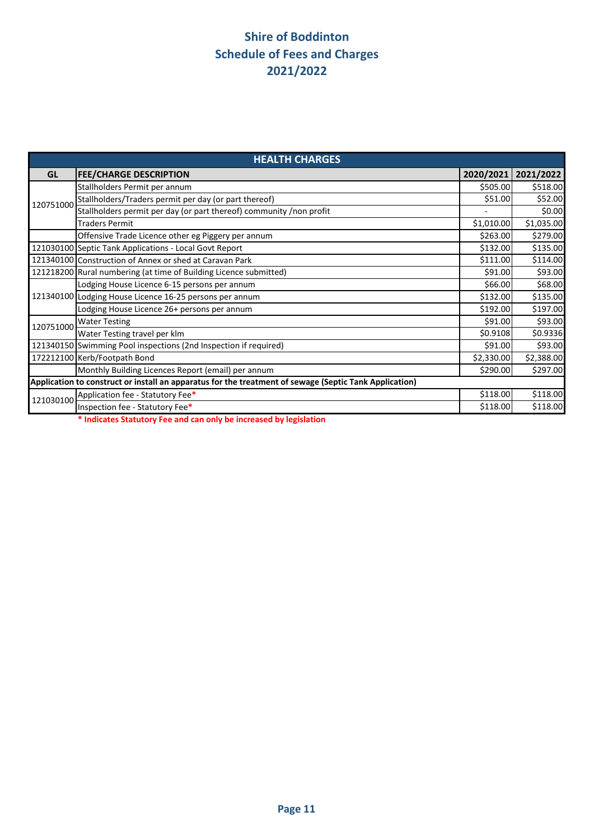| <b>HEALTH CHARGES</b>                                                                                  |                                                                     |            |            |  |  |
|--------------------------------------------------------------------------------------------------------|---------------------------------------------------------------------|------------|------------|--|--|
| <b>GL</b>                                                                                              | <b>FEE/CHARGE DESCRIPTION</b>                                       | 2020/2021  | 2021/2022  |  |  |
|                                                                                                        | Stallholders Permit per annum                                       | \$505.00   | \$518.00   |  |  |
| 120751000                                                                                              | Stallholders/Traders permit per day (or part thereof)               | \$51.00    | \$52.00    |  |  |
|                                                                                                        | Stallholders permit per day (or part thereof) community /non profit |            | \$0.00     |  |  |
|                                                                                                        | <b>Traders Permit</b>                                               | \$1,010.00 | \$1,035.00 |  |  |
|                                                                                                        | Offensive Trade Licence other eg Piggery per annum                  | \$263.00   | \$279.00   |  |  |
|                                                                                                        | 121030100 Septic Tank Applications - Local Govt Report              | \$132.00   | \$135.00   |  |  |
|                                                                                                        | 121340100 Construction of Annex or shed at Caravan Park             | \$111.00   | \$114.00   |  |  |
|                                                                                                        | 121218200 Rural numbering (at time of Building Licence submitted)   | \$91.00    | \$93.00    |  |  |
|                                                                                                        | Lodging House Licence 6-15 persons per annum                        | \$66.00    | \$68.00    |  |  |
|                                                                                                        | 121340100 Lodging House Licence 16-25 persons per annum             | \$132.00   | \$135.00   |  |  |
|                                                                                                        | Lodging House Licence 26+ persons per annum                         | \$192.00   | \$197.00   |  |  |
| 120751000                                                                                              | <b>Water Testing</b>                                                | \$91.00    | \$93.00    |  |  |
|                                                                                                        | Water Testing travel per klm                                        | \$0.9108   | \$0.9336   |  |  |
|                                                                                                        | 121340150 Swimming Pool inspections (2nd Inspection if required)    | \$91.00    | \$93.00    |  |  |
|                                                                                                        | 172212100 Kerb/Footpath Bond                                        | \$2,330.00 | \$2,388.00 |  |  |
|                                                                                                        | Monthly Building Licences Report (email) per annum                  | \$290.00   | \$297.00   |  |  |
| Application to construct or install an apparatus for the treatment of sewage (Septic Tank Application) |                                                                     |            |            |  |  |
| 121030100                                                                                              | Application fee - Statutory Fee*                                    | \$118.00   | \$118.00   |  |  |
|                                                                                                        | Inspection fee - Statutory Fee*                                     | \$118.00   | \$118.00   |  |  |

**\* Indicates Statutory Fee and can only be increased by legislation**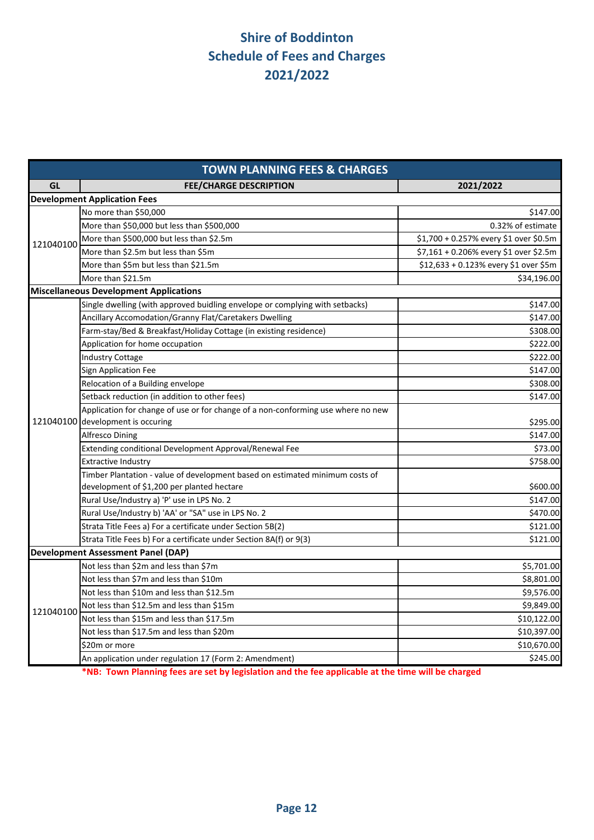| <b>TOWN PLANNING FEES &amp; CHARGES</b> |                                                                                  |                                        |  |  |  |
|-----------------------------------------|----------------------------------------------------------------------------------|----------------------------------------|--|--|--|
| GL                                      | <b>FEE/CHARGE DESCRIPTION</b>                                                    | 2021/2022                              |  |  |  |
|                                         | <b>Development Application Fees</b>                                              |                                        |  |  |  |
|                                         | No more than \$50,000                                                            | \$147.00                               |  |  |  |
|                                         | More than \$50,000 but less than \$500,000                                       | 0.32% of estimate                      |  |  |  |
| 121040100                               | More than \$500,000 but less than \$2.5m                                         | \$1,700 + 0.257% every \$1 over \$0.5m |  |  |  |
|                                         | More than \$2.5m but less than \$5m                                              | \$7,161 + 0.206% every \$1 over \$2.5m |  |  |  |
|                                         | More than \$5m but less than \$21.5m                                             | \$12,633 + 0.123% every \$1 over \$5m  |  |  |  |
|                                         | More than \$21.5m                                                                | \$34,196.00                            |  |  |  |
|                                         | <b>Miscellaneous Development Applications</b>                                    |                                        |  |  |  |
|                                         | Single dwelling (with approved buidling envelope or complying with setbacks)     | \$147.00                               |  |  |  |
|                                         | Ancillary Accomodation/Granny Flat/Caretakers Dwelling                           | \$147.00                               |  |  |  |
|                                         | Farm-stay/Bed & Breakfast/Holiday Cottage (in existing residence)                | \$308.00                               |  |  |  |
|                                         | Application for home occupation                                                  | \$222.00                               |  |  |  |
|                                         | <b>Industry Cottage</b>                                                          | \$222.00                               |  |  |  |
|                                         | Sign Application Fee                                                             | \$147.00                               |  |  |  |
|                                         | Relocation of a Building envelope                                                | \$308.00                               |  |  |  |
|                                         | Setback reduction (in addition to other fees)                                    | \$147.00                               |  |  |  |
|                                         | Application for change of use or for change of a non-conforming use where no new |                                        |  |  |  |
|                                         | 121040100 development is occuring                                                | \$295.00                               |  |  |  |
|                                         | <b>Alfresco Dining</b>                                                           | \$147.00                               |  |  |  |
|                                         | Extending conditional Development Approval/Renewal Fee                           | \$73.00                                |  |  |  |
|                                         | <b>Extractive Industry</b>                                                       | \$758.00                               |  |  |  |
|                                         | Timber Plantation - value of development based on estimated minimum costs of     |                                        |  |  |  |
|                                         | development of \$1,200 per planted hectare                                       | \$600.00                               |  |  |  |
|                                         | Rural Use/Industry a) 'P' use in LPS No. 2                                       | \$147.00                               |  |  |  |
|                                         | Rural Use/Industry b) 'AA' or "SA" use in LPS No. 2                              | \$470.00                               |  |  |  |
|                                         | Strata Title Fees a) For a certificate under Section 5B(2)                       | \$121.00                               |  |  |  |
|                                         | Strata Title Fees b) For a certificate under Section 8A(f) or 9(3)               | \$121.00                               |  |  |  |
|                                         | <b>Development Assessment Panel (DAP)</b>                                        |                                        |  |  |  |
|                                         | Not less than \$2m and less than \$7m                                            | \$5,701.00                             |  |  |  |
|                                         | Not less than \$7m and less than \$10m                                           | \$8,801.00                             |  |  |  |
|                                         | Not less than \$10m and less than \$12.5m                                        | \$9,576.00                             |  |  |  |
| 121040100                               | Not less than \$12.5m and less than \$15m                                        | \$9,849.00                             |  |  |  |
|                                         | Not less than \$15m and less than \$17.5m                                        | \$10,122.00                            |  |  |  |
|                                         | Not less than \$17.5m and less than \$20m                                        | \$10,397.00                            |  |  |  |
|                                         | \$20m or more                                                                    | \$10,670.00                            |  |  |  |
|                                         | An application under regulation 17 (Form 2: Amendment)                           | \$245.00                               |  |  |  |

**\*NB: Town Planning fees are set by legislation and the fee applicable at the time will be charged**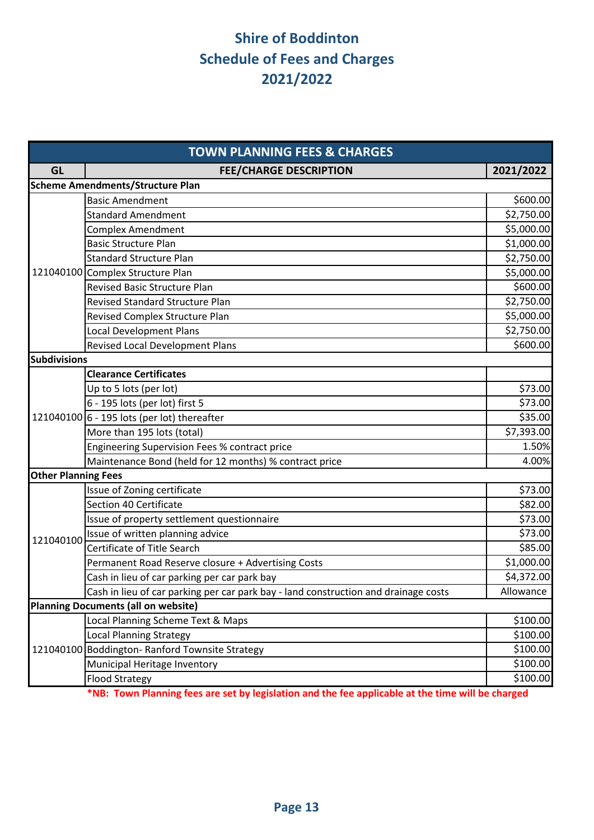| <b>TOWN PLANNING FEES &amp; CHARGES</b> |                                                                                     |            |  |  |
|-----------------------------------------|-------------------------------------------------------------------------------------|------------|--|--|
| <b>GL</b>                               | <b>FEE/CHARGE DESCRIPTION</b>                                                       | 2021/2022  |  |  |
|                                         | <b>Scheme Amendments/Structure Plan</b>                                             |            |  |  |
|                                         | <b>Basic Amendment</b>                                                              | \$600.00   |  |  |
|                                         | <b>Standard Amendment</b>                                                           | \$2,750.00 |  |  |
|                                         | <b>Complex Amendment</b>                                                            | \$5,000.00 |  |  |
|                                         | <b>Basic Structure Plan</b>                                                         | \$1,000.00 |  |  |
|                                         | <b>Standard Structure Plan</b>                                                      | \$2,750.00 |  |  |
|                                         | 121040100 Complex Structure Plan                                                    | \$5,000.00 |  |  |
|                                         | <b>Revised Basic Structure Plan</b>                                                 | \$600.00   |  |  |
|                                         | <b>Revised Standard Structure Plan</b>                                              | \$2,750.00 |  |  |
|                                         | Revised Complex Structure Plan                                                      | \$5,000.00 |  |  |
|                                         | Local Development Plans                                                             | \$2,750.00 |  |  |
|                                         | Revised Local Development Plans                                                     | \$600.00   |  |  |
| <b>Subdivisions</b>                     |                                                                                     |            |  |  |
|                                         | <b>Clearance Certificates</b>                                                       |            |  |  |
|                                         | Up to 5 lots (per lot)                                                              | \$73.00    |  |  |
|                                         | 6 - 195 lots (per lot) first 5                                                      | \$73.00    |  |  |
|                                         | 121040100 6 - 195 lots (per lot) thereafter                                         | \$35.00    |  |  |
|                                         | More than 195 lots (total)                                                          | \$7,393.00 |  |  |
|                                         | Engineering Supervision Fees % contract price                                       | 1.50%      |  |  |
|                                         | Maintenance Bond (held for 12 months) % contract price                              | 4.00%      |  |  |
| <b>Other Planning Fees</b>              |                                                                                     |            |  |  |
|                                         | Issue of Zoning certificate                                                         | \$73.00    |  |  |
|                                         | Section 40 Certificate                                                              | \$82.00    |  |  |
|                                         | Issue of property settlement questionnaire                                          | \$73.00    |  |  |
| 121040100                               | Issue of written planning advice                                                    | \$73.00    |  |  |
|                                         | Certificate of Title Search                                                         | \$85.00    |  |  |
|                                         | Permanent Road Reserve closure + Advertising Costs                                  | \$1,000.00 |  |  |
|                                         | Cash in lieu of car parking per car park bay                                        | \$4,372.00 |  |  |
|                                         | Cash in lieu of car parking per car park bay - land construction and drainage costs | Allowance  |  |  |
|                                         | <b>Planning Documents (all on website)</b>                                          |            |  |  |
|                                         | Local Planning Scheme Text & Maps                                                   | \$100.00   |  |  |
|                                         | <b>Local Planning Strategy</b>                                                      | \$100.00   |  |  |
|                                         | 121040100 Boddington-Ranford Townsite Strategy                                      | \$100.00   |  |  |
|                                         | Municipal Heritage Inventory                                                        | \$100.00   |  |  |
|                                         | <b>Flood Strategy</b>                                                               | \$100.00   |  |  |

**\*NB: Town Planning fees are set by legislation and the fee applicable at the time will be charged**